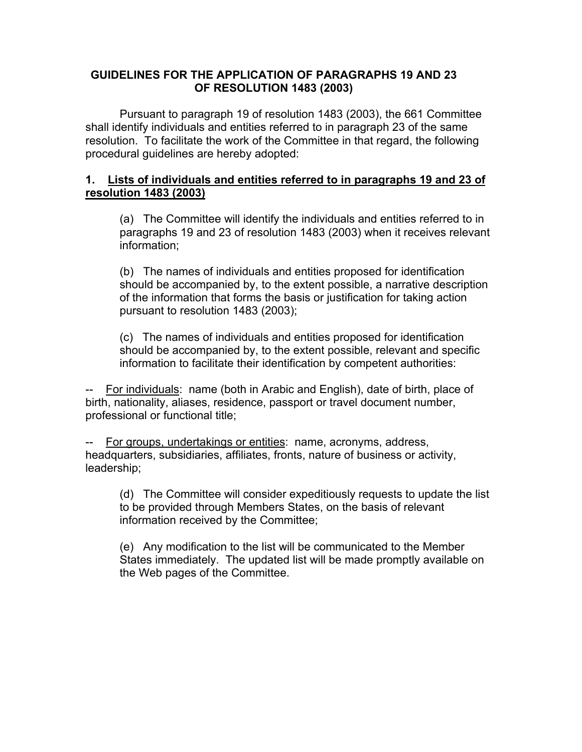## **GUIDELINES FOR THE APPLICATION OF PARAGRAPHS 19 AND 23 OF RESOLUTION 1483 (2003)**

Pursuant to paragraph 19 of resolution 1483 (2003), the 661 Committee shall identify individuals and entities referred to in paragraph 23 of the same resolution. To facilitate the work of the Committee in that regard, the following procedural guidelines are hereby adopted:

## **1. Lists of individuals and entities referred to in paragraphs 19 and 23 of resolution 1483 (2003)**

(a) The Committee will identify the individuals and entities referred to in paragraphs 19 and 23 of resolution 1483 (2003) when it receives relevant information;

(b) The names of individuals and entities proposed for identification should be accompanied by, to the extent possible, a narrative description of the information that forms the basis or justification for taking action pursuant to resolution 1483 (2003);

(c) The names of individuals and entities proposed for identification should be accompanied by, to the extent possible, relevant and specific information to facilitate their identification by competent authorities:

-- For individuals: name (both in Arabic and English), date of birth, place of birth, nationality, aliases, residence, passport or travel document number, professional or functional title;

For groups, undertakings or entities: name, acronyms, address, headquarters, subsidiaries, affiliates, fronts, nature of business or activity, leadership;

(d) The Committee will consider expeditiously requests to update the list to be provided through Members States, on the basis of relevant information received by the Committee;

(e) Any modification to the list will be communicated to the Member States immediately. The updated list will be made promptly available on the Web pages of the Committee.